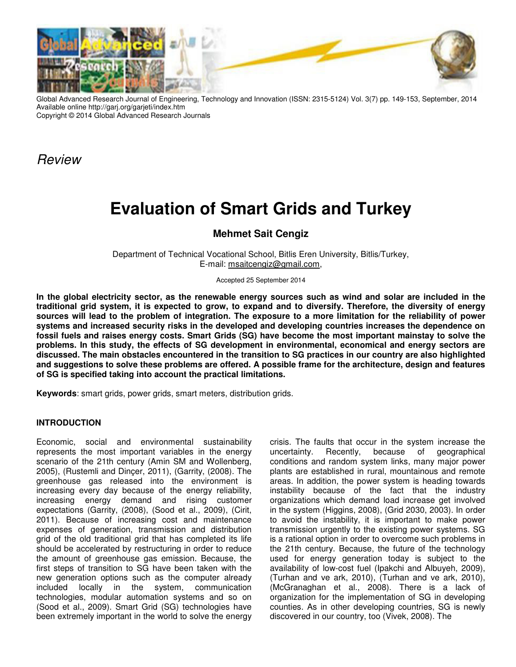

Global Advanced Research Journal of Engineering, Technology and Innovation (ISSN: 2315-5124) Vol. 3(7) pp. 149-153, September, 2014 Available online http://garj.org/garjeti/index.htm Copyright © 2014 Global Advanced Research Journals

Review

# **Evaluation of Smart Grids and Turkey**

## **Mehmet Sait Cengiz**

Department of Technical Vocational School, Bitlis Eren University, Bitlis/Turkey, E-mail: msaitcengiz@gmail.com,

Accepted 25 September 2014

**In the global electricity sector, as the renewable energy sources such as wind and solar are included in the traditional grid system, it is expected to grow, to expand and to diversify. Therefore, the diversity of energy sources will lead to the problem of integration. The exposure to a more limitation for the reliability of power systems and increased security risks in the developed and developing countries increases the dependence on fossil fuels and raises energy costs. Smart Grids (SG) have become the most important mainstay to solve the problems. In this study, the effects of SG development in environmental, economical and energy sectors are discussed. The main obstacles encountered in the transition to SG practices in our country are also highlighted and suggestions to solve these problems are offered. A possible frame for the architecture, design and features of SG is specified taking into account the practical limitations.**

**Keywords**: smart grids, power grids, smart meters, distribution grids.

#### **INTRODUCTION**

Economic, social and environmental sustainability represents the most important variables in the energy scenario of the 21th century (Amin SM and Wollenberg, 2005), (Rustemli and Dinçer, 2011), (Garrity, (2008). The greenhouse gas released into the environment is increasing every day because of the energy reliability, increasing energy demand and rising customer expectations (Garrity, (2008), (Sood et al., 2009), (Cirit, 2011). Because of increasing cost and maintenance expenses of generation, transmission and distribution grid of the old traditional grid that has completed its life should be accelerated by restructuring in order to reduce the amount of greenhouse gas emission. Because, the first steps of transition to SG have been taken with the new generation options such as the computer already included locally in the system, communication technologies, modular automation systems and so on (Sood et al., 2009). Smart Grid (SG) technologies have been extremely important in the world to solve the energy

crisis. The faults that occur in the system increase the uncertainty. Recently, because of geographical conditions and random system links, many major power plants are established in rural, mountainous and remote areas. In addition, the power system is heading towards instability because of the fact that the industry organizations which demand load increase get involved in the system (Higgins, 2008), (Grid 2030, 2003). In order to avoid the instability, it is important to make power transmission urgently to the existing power systems. SG is a rational option in order to overcome such problems in the 21th century. Because, the future of the technology used for energy generation today is subject to the availability of low-cost fuel (Ipakchi and Albuyeh, 2009), (Turhan and ve ark, 2010), (Turhan and ve ark, 2010), (McGranaghan et al., 2008). There is a lack of organization for the implementation of SG in developing counties. As in other developing countries, SG is newly discovered in our country, too (Vivek, 2008). The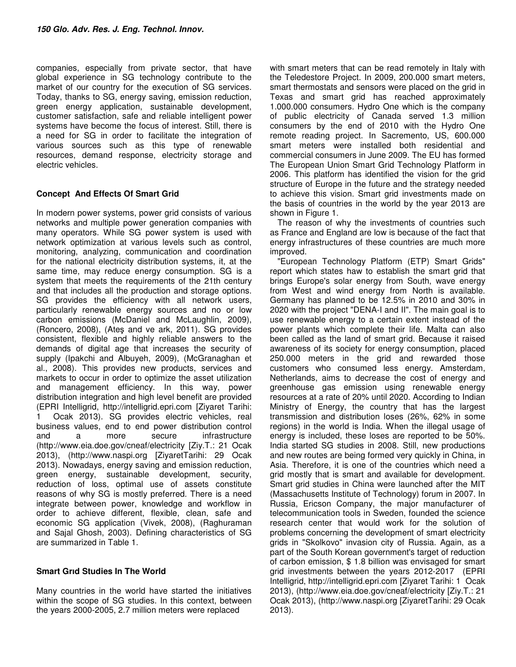companies, especially from private sector, that have global experience in SG technology contribute to the market of our country for the execution of SG services. Today, thanks to SG, energy saving, emission reduction, green energy application, sustainable development, customer satisfaction, safe and reliable intelligent power systems have become the focus of interest. Still, there is a need for SG in order to facilitate the integration of various sources such as this type of renewable resources, demand response, electricity storage and electric vehicles.

### **Concept And Effects Of Smart Grid**

In modern power systems, power grid consists of various networks and multiple power generation companies with many operators. While SG power system is used with network optimization at various levels such as control, monitoring, analyzing, communication and coordination for the national electricity distribution systems, it, at the same time, may reduce energy consumption. SG is a system that meets the requirements of the 21th century and that includes all the production and storage options. SG provides the efficiency with all network users, particularly renewable energy sources and no or low carbon emissions (McDaniel and McLaughlin, 2009), (Roncero, 2008), (Ateş and ve ark, 2011). SG provides consistent, flexible and highly reliable answers to the demands of digital age that increases the security of supply (Ipakchi and Albuyeh, 2009), (McGranaghan et al., 2008). This provides new products, services and markets to occur in order to optimize the asset utilization and management efficiency. In this way, power distribution integration and high level benefit are provided (EPRI Intelligrid, http://intelligrid.epri.com [Ziyaret Tarihi: Ocak 2013). SG provides electric vehicles, real business values, end to end power distribution control and a more secure infrastructure (http://www.eia.doe.gov/cneaf/electricity [Ziy.T.: 21 Ocak 2013), (http://www.naspi.org [ZiyaretTarihi: 29 Ocak 2013). Nowadays, energy saving and emission reduction, green energy, sustainable development, security, reduction of loss, optimal use of assets constitute reasons of why SG is mostly preferred. There is a need integrate between power, knowledge and workflow in order to achieve different, flexible, clean, safe and economic SG application (Vivek, 2008), (Raghuraman and Sajal Ghosh, 2003). Defining characteristics of SG are summarized in Table 1.

#### **Smart Grıd Studies In The World**

Many countries in the world have started the initiatives within the scope of SG studies. In this context, between the years 2000-2005, 2.7 million meters were replaced

with smart meters that can be read remotely in Italy with the Teledestore Project. In 2009, 200.000 smart meters, smart thermostats and sensors were placed on the grid in Texas and smart grid has reached approximately 1.000.000 consumers. Hydro One which is the company of public electricity of Canada served 1.3 million consumers by the end of 2010 with the Hydro One remote reading project. In Sacremento, US, 600.000 smart meters were installed both residential and commercial consumers in June 2009. The EU has formed The European Union Smart Grid Technology Platform in 2006. This platform has identified the vision for the grid structure of Europe in the future and the strategy needed to achieve this vision. Smart grid investments made on the basis of countries in the world by the year 2013 are shown in Figure 1.

The reason of why the investments of countries such as France and England are low is because of the fact that energy infrastructures of these countries are much more improved.

"European Technology Platform (ETP) Smart Grids" report which states haw to establish the smart grid that brings Europe's solar energy from South, wave energy from West and wind energy from North is available. Germany has planned to be 12.5% in 2010 and 30% in 2020 with the project "DENA-I and II". The main goal is to use renewable energy to a certain extent instead of the power plants which complete their life. Malta can also been called as the land of smart grid. Because it raised awareness of its society for energy consumption, placed 250.000 meters in the grid and rewarded those customers who consumed less energy. Amsterdam, Netherlands, aims to decrease the cost of energy and greenhouse gas emission using renewable energy resources at a rate of 20% until 2020. According to Indian Ministry of Energy, the country that has the largest transmission and distribution loses (26%, 62% in some regions) in the world is India. When the illegal usage of energy is included, these loses are reported to be 50%. India started SG studies in 2008. Still, new productions and new routes are being formed very quickly in China, in Asia. Therefore, it is one of the countries which need a grid mostly that is smart and available for development. Smart grid studies in China were launched after the MIT (Massachusetts Institute of Technology) forum in 2007. In Russia, Ericson Company, the major manufacturer of telecommunication tools in Sweden, founded the science research center that would work for the solution of problems concerning the development of smart electricity grids in "Skolkovo" invasion city of Russia. Again, as a part of the South Korean government's target of reduction of carbon emission, \$ 1.8 billion was envisaged for smart grid investments between the years 2012-2017 (EPRI Intelligrid, http://intelligrid.epri.com [Ziyaret Tarihi: 1 Ocak 2013), (http://www.eia.doe.gov/cneaf/electricity [Ziy.T.: 21 Ocak 2013), (http://www.naspi.org [ZiyaretTarihi: 29 Ocak 2013).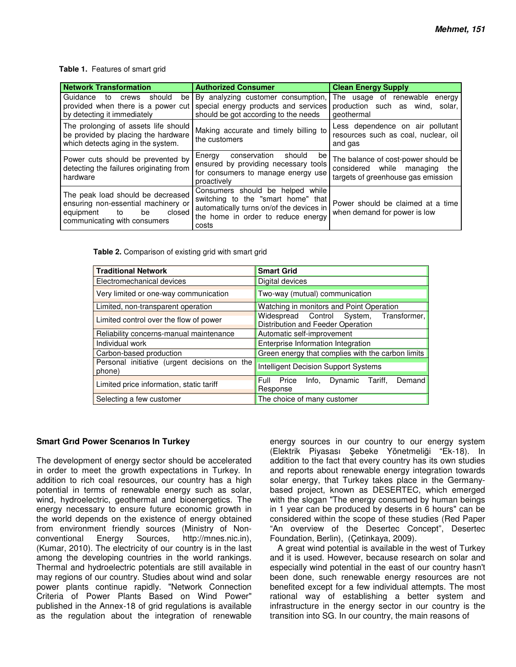#### **Table 1.** Features of smart grid

| <b>Network Transformation</b>                                                                                                               | <b>Authorized Consumer</b>                                                                                                                                        | <b>Clean Energy Supply</b>                                                                                    |  |
|---------------------------------------------------------------------------------------------------------------------------------------------|-------------------------------------------------------------------------------------------------------------------------------------------------------------------|---------------------------------------------------------------------------------------------------------------|--|
| Guidance<br>should<br>to<br>crews<br>be l<br>provided when there is a power cut<br>by detecting it immediately                              | By analyzing customer consumption,<br>special energy products and services<br>should be got according to the needs                                                | The usage of renewable<br>energy<br>production such as wind, solar,<br>geothermal                             |  |
| The prolonging of assets life should<br>be provided by placing the hardware<br>which detects aging in the system.                           | Making accurate and timely billing to<br>the customers                                                                                                            | Less dependence on air pollutant<br>resources such as coal, nuclear, oil<br>and gas                           |  |
| Power cuts should be prevented by<br>detecting the failures originating from<br>hardware                                                    | Energy<br>conservation<br>should<br>be<br>ensured by providing necessary tools<br>for consumers to manage energy use<br>proactively                               | The balance of cost-power should be<br>considered while managing<br>the<br>targets of greenhouse gas emission |  |
| The peak load should be decreased<br>ensuring non-essential machinery or<br>be<br>closed<br>equipment<br>to<br>communicating with consumers | Consumers should be helped while<br>switching to the "smart home" that<br>automatically turns on/of the devices in<br>the home in order to reduce energy<br>costs | Power should be claimed at a time<br>when demand for power is low                                             |  |

**Table 2.** Comparison of existing grid with smart grid

| <b>Traditional Network</b>                             | <b>Smart Grid</b>                                                            |  |  |
|--------------------------------------------------------|------------------------------------------------------------------------------|--|--|
| Electromechanical devices                              | Digital devices                                                              |  |  |
| Very limited or one-way communication                  | Two-way (mutual) communication                                               |  |  |
| Limited, non-transparent operation                     | Watching in monitors and Point Operation                                     |  |  |
| Limited control over the flow of power                 | Widespread Control System, Transformer,<br>Distribution and Feeder Operation |  |  |
| Reliability concerns-manual maintenance                | Automatic self-improvement                                                   |  |  |
| Individual work                                        | Enterprise Information Integration                                           |  |  |
| Carbon-based production                                | Green energy that complies with the carbon limits                            |  |  |
| Personal initiative (urgent decisions on the<br>phone) | Intelligent Decision Support Systems                                         |  |  |
| Limited price information, static tariff               | Demand<br>Full<br>Price<br>Info.<br>Dynamic Tariff,<br>Response              |  |  |
| Selecting a few customer                               | The choice of many customer                                                  |  |  |

#### **Smart Grıd Power Scenarıos In Turkey**

The development of energy sector should be accelerated in order to meet the growth expectations in Turkey. In addition to rich coal resources, our country has a high potential in terms of renewable energy such as solar, wind, hydroelectric, geothermal and bioenergetics. The energy necessary to ensure future economic growth in the world depends on the existence of energy obtained from environment friendly sources (Ministry of Nonconventional Energy Sources, http://mnes.nic.in), (Kumar, 2010). The electricity of our country is in the last among the developing countries in the world rankings. Thermal and hydroelectric potentials are still available in may regions of our country. Studies about wind and solar power plants continue rapidly. "Network Connection Criteria of Power Plants Based on Wind Power" published in the Annex-18 of grid regulations is available as the regulation about the integration of renewable

energy sources in our country to our energy system (Elektrik Piyasası Şebeke Yönetmeliği "Ek-18). In addition to the fact that every country has its own studies and reports about renewable energy integration towards solar energy, that Turkey takes place in the Germanybased project, known as DESERTEC, which emerged with the slogan "The energy consumed by human beings in 1 year can be produced by deserts in 6 hours" can be considered within the scope of these studies (Red Paper "An overview of the Desertec Concept", Desertec Foundation, Berlin), (Çetinkaya, 2009).

A great wind potential is available in the west of Turkey and it is used. However, because research on solar and especially wind potential in the east of our country hasn't been done, such renewable energy resources are not benefited except for a few individual attempts. The most rational way of establishing a better system and infrastructure in the energy sector in our country is the transition into SG. In our country, the main reasons of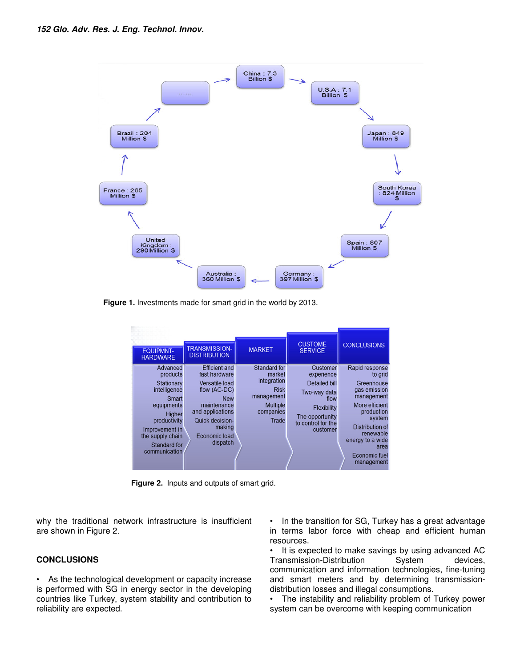

**Figure 1.** Investments made for smart grid in the world by 2013.

| <b>EQUIPMNT-</b><br><b>HARDWARE</b>                | <b>TRANSMISSION-</b><br><b>DISTRIBUTION</b>  | <b>MARKET</b>                            | <b>CUSTOME</b><br><b>SERVICE</b>             | <b>CONCLUSIONS</b>                               |
|----------------------------------------------------|----------------------------------------------|------------------------------------------|----------------------------------------------|--------------------------------------------------|
| Advanced<br>products                               | <b>Efficient and</b><br>fast hardware        | <b>Standard for</b><br>market            | Customer<br>experience                       | Rapid response<br>to grid                        |
| Stationary<br>intelligence<br>Smart                | Versatile load<br>flow (AC-DC)<br><b>New</b> | integration<br><b>Risk</b><br>management | <b>Detailed bill</b><br>Two-way data<br>flow | Greenhouse<br>gas emission<br>management         |
| equipments<br>Higher                               | maintenance<br>and applications              | <b>Multiple</b><br>companies             | Flexibility<br>The opportunity               | More efficient<br>production<br>system           |
| productivity<br>Improvement in<br>the supply chain | Quick decision-<br>making<br>Economic load   | Trade                                    | to control for the<br>customer               | Distribution of<br>renewable<br>energy to a wide |
| Standard for<br>communication                      | dispatch                                     |                                          |                                              | area<br>Economic fuel<br>management              |

**Figure 2.** Inputs and outputs of smart grid.

why the traditional network infrastructure is insufficient are shown in Figure 2.

#### **CONCLUSIONS**

• As the technological development or capacity increase is performed with SG in energy sector in the developing countries like Turkey, system stability and contribution to reliability are expected.

• In the transition for SG, Turkey has a great advantage in terms labor force with cheap and efficient human resources.

• It is expected to make savings by using advanced AC Transmission-Distribution System devices, communication and information technologies, fine-tuning and smart meters and by determining transmissiondistribution losses and illegal consumptions.

The instability and reliability problem of Turkey power system can be overcome with keeping communication